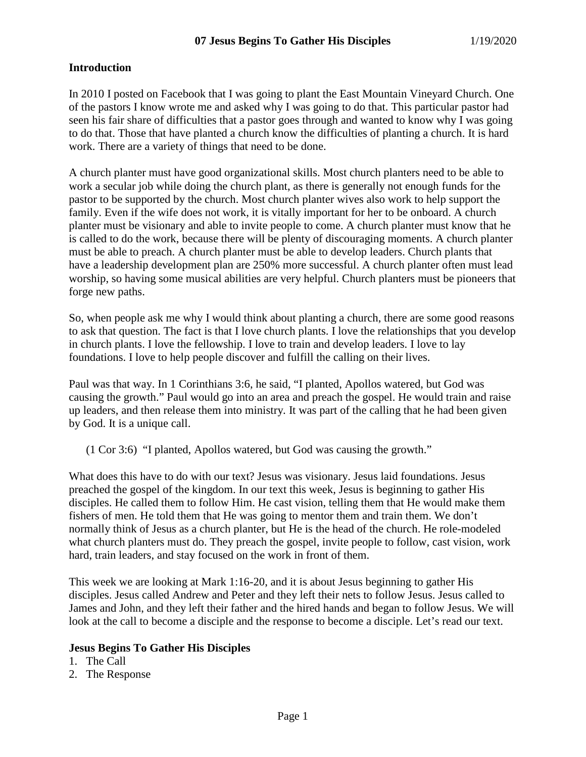### **Introduction**

In 2010 I posted on Facebook that I was going to plant the East Mountain Vineyard Church. One of the pastors I know wrote me and asked why I was going to do that. This particular pastor had seen his fair share of difficulties that a pastor goes through and wanted to know why I was going to do that. Those that have planted a church know the difficulties of planting a church. It is hard work. There are a variety of things that need to be done.

A church planter must have good organizational skills. Most church planters need to be able to work a secular job while doing the church plant, as there is generally not enough funds for the pastor to be supported by the church. Most church planter wives also work to help support the family. Even if the wife does not work, it is vitally important for her to be onboard. A church planter must be visionary and able to invite people to come. A church planter must know that he is called to do the work, because there will be plenty of discouraging moments. A church planter must be able to preach. A church planter must be able to develop leaders. Church plants that have a leadership development plan are 250% more successful. A church planter often must lead worship, so having some musical abilities are very helpful. Church planters must be pioneers that forge new paths.

So, when people ask me why I would think about planting a church, there are some good reasons to ask that question. The fact is that I love church plants. I love the relationships that you develop in church plants. I love the fellowship. I love to train and develop leaders. I love to lay foundations. I love to help people discover and fulfill the calling on their lives.

Paul was that way. In 1 Corinthians 3:6, he said, "I planted, Apollos watered, but God was causing the growth." Paul would go into an area and preach the gospel. He would train and raise up leaders, and then release them into ministry. It was part of the calling that he had been given by God. It is a unique call.

(1 Cor 3:6) "I planted, Apollos watered, but God was causing the growth."

What does this have to do with our text? Jesus was visionary. Jesus laid foundations. Jesus preached the gospel of the kingdom. In our text this week, Jesus is beginning to gather His disciples. He called them to follow Him. He cast vision, telling them that He would make them fishers of men. He told them that He was going to mentor them and train them. We don't normally think of Jesus as a church planter, but He is the head of the church. He role-modeled what church planters must do. They preach the gospel, invite people to follow, cast vision, work hard, train leaders, and stay focused on the work in front of them.

This week we are looking at Mark 1:16-20, and it is about Jesus beginning to gather His disciples. Jesus called Andrew and Peter and they left their nets to follow Jesus. Jesus called to James and John, and they left their father and the hired hands and began to follow Jesus. We will look at the call to become a disciple and the response to become a disciple. Let's read our text.

#### **Jesus Begins To Gather His Disciples**

- 1. The Call
- 2. The Response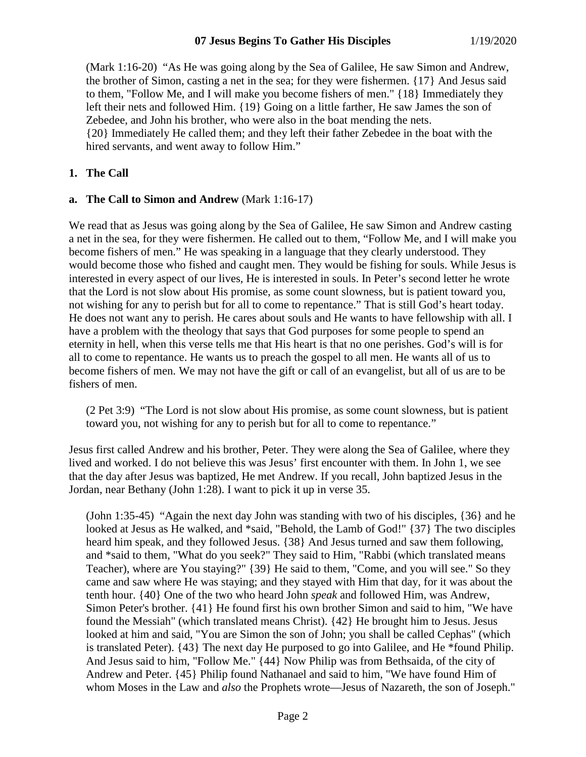(Mark 1:16-20) "As He was going along by the Sea of Galilee, He saw Simon and Andrew, the brother of Simon, casting a net in the sea; for they were fishermen. {17} And Jesus said to them, "Follow Me, and I will make you become fishers of men." {18} Immediately they left their nets and followed Him. {19} Going on a little farther, He saw James the son of Zebedee, and John his brother, who were also in the boat mending the nets. {20} Immediately He called them; and they left their father Zebedee in the boat with the hired servants, and went away to follow Him."

# **1. The Call**

# **a. The Call to Simon and Andrew** (Mark 1:16-17)

We read that as Jesus was going along by the Sea of Galilee, He saw Simon and Andrew casting a net in the sea, for they were fishermen. He called out to them, "Follow Me, and I will make you become fishers of men." He was speaking in a language that they clearly understood. They would become those who fished and caught men. They would be fishing for souls. While Jesus is interested in every aspect of our lives, He is interested in souls. In Peter's second letter he wrote that the Lord is not slow about His promise, as some count slowness, but is patient toward you, not wishing for any to perish but for all to come to repentance." That is still God's heart today. He does not want any to perish. He cares about souls and He wants to have fellowship with all. I have a problem with the theology that says that God purposes for some people to spend an eternity in hell, when this verse tells me that His heart is that no one perishes. God's will is for all to come to repentance. He wants us to preach the gospel to all men. He wants all of us to become fishers of men. We may not have the gift or call of an evangelist, but all of us are to be fishers of men.

(2 Pet 3:9) "The Lord is not slow about His promise, as some count slowness, but is patient toward you, not wishing for any to perish but for all to come to repentance."

Jesus first called Andrew and his brother, Peter. They were along the Sea of Galilee, where they lived and worked. I do not believe this was Jesus' first encounter with them. In John 1, we see that the day after Jesus was baptized, He met Andrew. If you recall, John baptized Jesus in the Jordan, near Bethany (John 1:28). I want to pick it up in verse 35.

(John 1:35-45) "Again the next day John was standing with two of his disciples, {36} and he looked at Jesus as He walked, and \*said, "Behold, the Lamb of God!" {37} The two disciples heard him speak, and they followed Jesus. {38} And Jesus turned and saw them following, and \*said to them, "What do you seek?" They said to Him, "Rabbi (which translated means Teacher), where are You staying?" {39} He said to them, "Come, and you will see." So they came and saw where He was staying; and they stayed with Him that day, for it was about the tenth hour. {40} One of the two who heard John *speak* and followed Him, was Andrew, Simon Peter's brother. {41} He found first his own brother Simon and said to him, "We have found the Messiah" (which translated means Christ). {42} He brought him to Jesus. Jesus looked at him and said, "You are Simon the son of John; you shall be called Cephas" (which is translated Peter). {43} The next day He purposed to go into Galilee, and He \*found Philip. And Jesus said to him, "Follow Me." {44} Now Philip was from Bethsaida, of the city of Andrew and Peter. {45} Philip found Nathanael and said to him, "We have found Him of whom Moses in the Law and *also* the Prophets wrote—Jesus of Nazareth, the son of Joseph."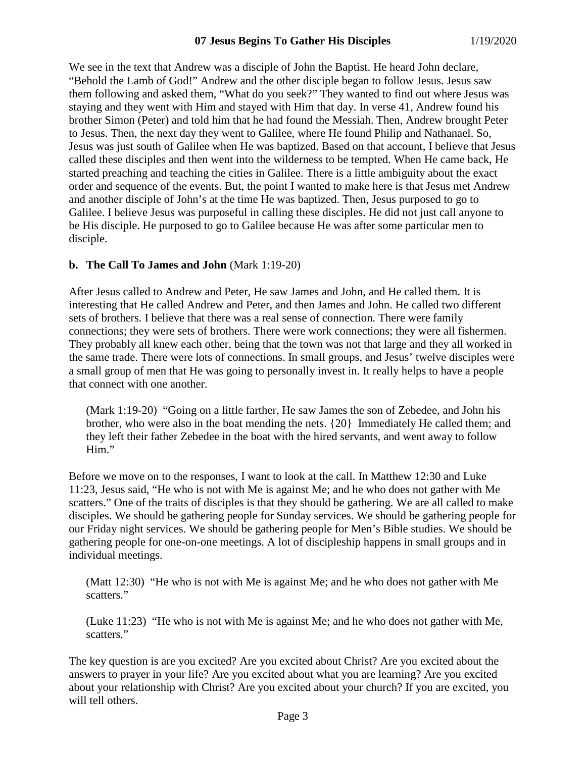We see in the text that Andrew was a disciple of John the Baptist. He heard John declare, "Behold the Lamb of God!" Andrew and the other disciple began to follow Jesus. Jesus saw them following and asked them, "What do you seek?" They wanted to find out where Jesus was staying and they went with Him and stayed with Him that day. In verse 41, Andrew found his brother Simon (Peter) and told him that he had found the Messiah. Then, Andrew brought Peter to Jesus. Then, the next day they went to Galilee, where He found Philip and Nathanael. So, Jesus was just south of Galilee when He was baptized. Based on that account, I believe that Jesus called these disciples and then went into the wilderness to be tempted. When He came back, He started preaching and teaching the cities in Galilee. There is a little ambiguity about the exact order and sequence of the events. But, the point I wanted to make here is that Jesus met Andrew and another disciple of John's at the time He was baptized. Then, Jesus purposed to go to Galilee. I believe Jesus was purposeful in calling these disciples. He did not just call anyone to be His disciple. He purposed to go to Galilee because He was after some particular men to disciple.

# **b. The Call To James and John** (Mark 1:19-20)

After Jesus called to Andrew and Peter, He saw James and John, and He called them. It is interesting that He called Andrew and Peter, and then James and John. He called two different sets of brothers. I believe that there was a real sense of connection. There were family connections; they were sets of brothers. There were work connections; they were all fishermen. They probably all knew each other, being that the town was not that large and they all worked in the same trade. There were lots of connections. In small groups, and Jesus' twelve disciples were a small group of men that He was going to personally invest in. It really helps to have a people that connect with one another.

(Mark 1:19-20) "Going on a little farther, He saw James the son of Zebedee, and John his brother, who were also in the boat mending the nets. {20} Immediately He called them; and they left their father Zebedee in the boat with the hired servants, and went away to follow Him."

Before we move on to the responses, I want to look at the call. In Matthew 12:30 and Luke 11:23, Jesus said, "He who is not with Me is against Me; and he who does not gather with Me scatters." One of the traits of disciples is that they should be gathering. We are all called to make disciples. We should be gathering people for Sunday services. We should be gathering people for our Friday night services. We should be gathering people for Men's Bible studies. We should be gathering people for one-on-one meetings. A lot of discipleship happens in small groups and in individual meetings.

(Matt 12:30) "He who is not with Me is against Me; and he who does not gather with Me scatters."

(Luke 11:23) "He who is not with Me is against Me; and he who does not gather with Me, scatters."

The key question is are you excited? Are you excited about Christ? Are you excited about the answers to prayer in your life? Are you excited about what you are learning? Are you excited about your relationship with Christ? Are you excited about your church? If you are excited, you will tell others.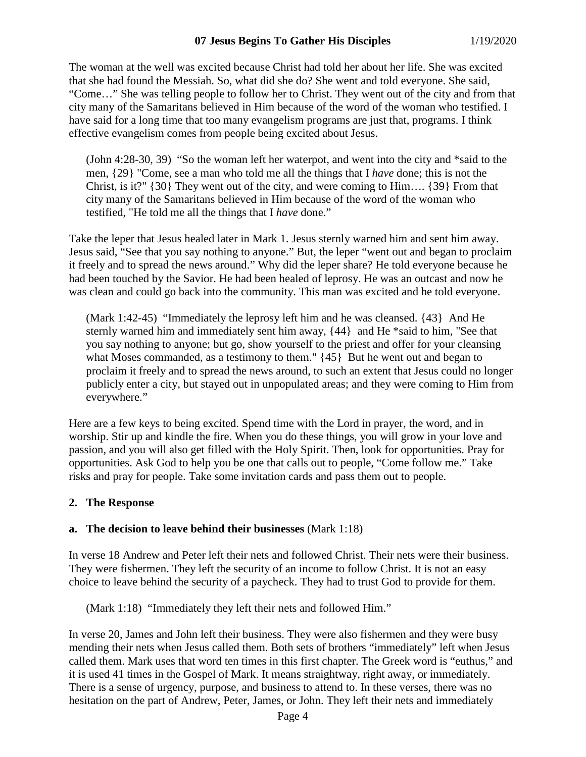### **07 Jesus Begins To Gather His Disciples** 1/19/2020

The woman at the well was excited because Christ had told her about her life. She was excited that she had found the Messiah. So, what did she do? She went and told everyone. She said, "Come…" She was telling people to follow her to Christ. They went out of the city and from that city many of the Samaritans believed in Him because of the word of the woman who testified. I have said for a long time that too many evangelism programs are just that, programs. I think effective evangelism comes from people being excited about Jesus.

(John 4:28-30, 39) "So the woman left her waterpot, and went into the city and \*said to the men, {29} "Come, see a man who told me all the things that I *have* done; this is not the Christ, is it?"  $\{30\}$  They went out of the city, and were coming to Him....  $\{39\}$  From that city many of the Samaritans believed in Him because of the word of the woman who testified, "He told me all the things that I *have* done."

Take the leper that Jesus healed later in Mark 1. Jesus sternly warned him and sent him away. Jesus said, "See that you say nothing to anyone." But, the leper "went out and began to proclaim it freely and to spread the news around." Why did the leper share? He told everyone because he had been touched by the Savior. He had been healed of leprosy. He was an outcast and now he was clean and could go back into the community. This man was excited and he told everyone.

(Mark 1:42-45) "Immediately the leprosy left him and he was cleansed. {43} And He sternly warned him and immediately sent him away, {44} and He \*said to him, "See that you say nothing to anyone; but go, show yourself to the priest and offer for your cleansing what Moses commanded, as a testimony to them." {45} But he went out and began to proclaim it freely and to spread the news around, to such an extent that Jesus could no longer publicly enter a city, but stayed out in unpopulated areas; and they were coming to Him from everywhere."

Here are a few keys to being excited. Spend time with the Lord in prayer, the word, and in worship. Stir up and kindle the fire. When you do these things, you will grow in your love and passion, and you will also get filled with the Holy Spirit. Then, look for opportunities. Pray for opportunities. Ask God to help you be one that calls out to people, "Come follow me." Take risks and pray for people. Take some invitation cards and pass them out to people.

#### **2. The Response**

#### **a. The decision to leave behind their businesses** (Mark 1:18)

In verse 18 Andrew and Peter left their nets and followed Christ. Their nets were their business. They were fishermen. They left the security of an income to follow Christ. It is not an easy choice to leave behind the security of a paycheck. They had to trust God to provide for them.

(Mark 1:18) "Immediately they left their nets and followed Him."

In verse 20, James and John left their business. They were also fishermen and they were busy mending their nets when Jesus called them. Both sets of brothers "immediately" left when Jesus called them. Mark uses that word ten times in this first chapter. The Greek word is "euthus," and it is used 41 times in the Gospel of Mark. It means straightway, right away, or immediately. There is a sense of urgency, purpose, and business to attend to. In these verses, there was no hesitation on the part of Andrew, Peter, James, or John. They left their nets and immediately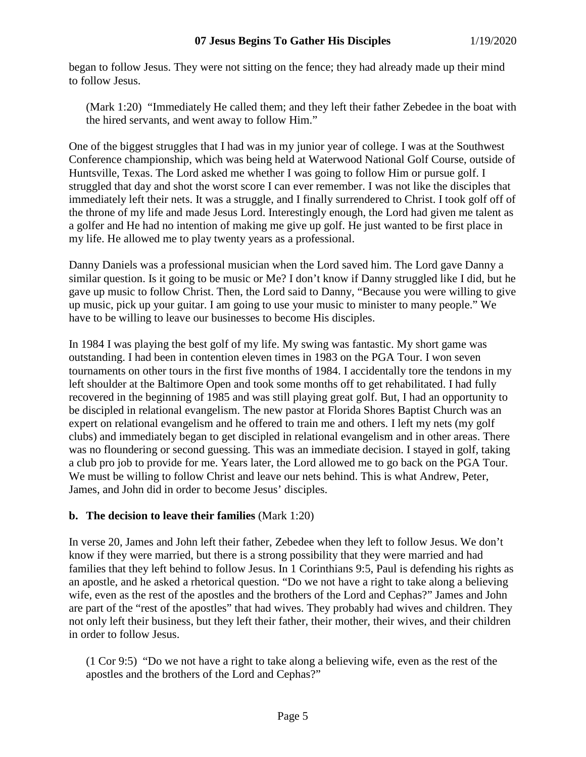began to follow Jesus. They were not sitting on the fence; they had already made up their mind to follow Jesus.

(Mark 1:20) "Immediately He called them; and they left their father Zebedee in the boat with the hired servants, and went away to follow Him."

One of the biggest struggles that I had was in my junior year of college. I was at the Southwest Conference championship, which was being held at Waterwood National Golf Course, outside of Huntsville, Texas. The Lord asked me whether I was going to follow Him or pursue golf. I struggled that day and shot the worst score I can ever remember. I was not like the disciples that immediately left their nets. It was a struggle, and I finally surrendered to Christ. I took golf off of the throne of my life and made Jesus Lord. Interestingly enough, the Lord had given me talent as a golfer and He had no intention of making me give up golf. He just wanted to be first place in my life. He allowed me to play twenty years as a professional.

Danny Daniels was a professional musician when the Lord saved him. The Lord gave Danny a similar question. Is it going to be music or Me? I don't know if Danny struggled like I did, but he gave up music to follow Christ. Then, the Lord said to Danny, "Because you were willing to give up music, pick up your guitar. I am going to use your music to minister to many people." We have to be willing to leave our businesses to become His disciples.

In 1984 I was playing the best golf of my life. My swing was fantastic. My short game was outstanding. I had been in contention eleven times in 1983 on the PGA Tour. I won seven tournaments on other tours in the first five months of 1984. I accidentally tore the tendons in my left shoulder at the Baltimore Open and took some months off to get rehabilitated. I had fully recovered in the beginning of 1985 and was still playing great golf. But, I had an opportunity to be discipled in relational evangelism. The new pastor at Florida Shores Baptist Church was an expert on relational evangelism and he offered to train me and others. I left my nets (my golf clubs) and immediately began to get discipled in relational evangelism and in other areas. There was no floundering or second guessing. This was an immediate decision. I stayed in golf, taking a club pro job to provide for me. Years later, the Lord allowed me to go back on the PGA Tour. We must be willing to follow Christ and leave our nets behind. This is what Andrew, Peter, James, and John did in order to become Jesus' disciples.

# **b. The decision to leave their families** (Mark 1:20)

In verse 20, James and John left their father, Zebedee when they left to follow Jesus. We don't know if they were married, but there is a strong possibility that they were married and had families that they left behind to follow Jesus. In 1 Corinthians 9:5, Paul is defending his rights as an apostle, and he asked a rhetorical question. "Do we not have a right to take along a believing wife, even as the rest of the apostles and the brothers of the Lord and Cephas?" James and John are part of the "rest of the apostles" that had wives. They probably had wives and children. They not only left their business, but they left their father, their mother, their wives, and their children in order to follow Jesus.

(1 Cor 9:5) "Do we not have a right to take along a believing wife, even as the rest of the apostles and the brothers of the Lord and Cephas?"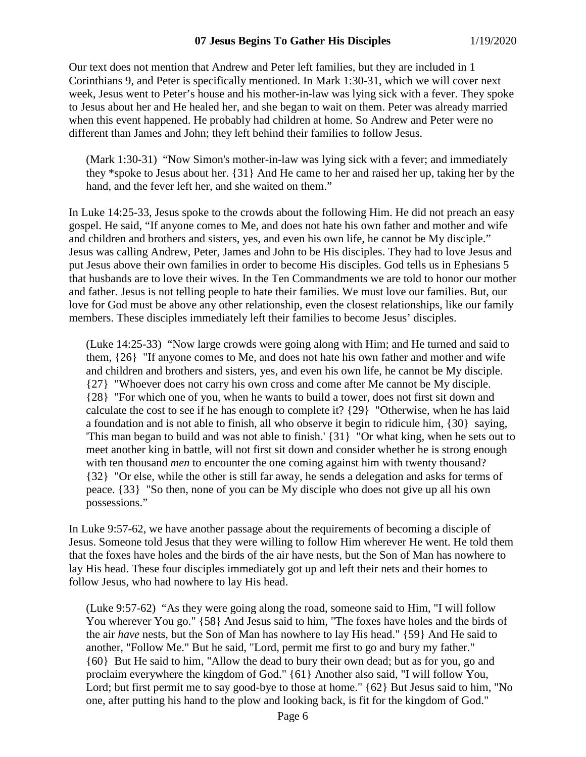#### **07 Jesus Begins To Gather His Disciples** 1/19/2020

Our text does not mention that Andrew and Peter left families, but they are included in 1 Corinthians 9, and Peter is specifically mentioned. In Mark 1:30-31, which we will cover next week, Jesus went to Peter's house and his mother-in-law was lying sick with a fever. They spoke to Jesus about her and He healed her, and she began to wait on them. Peter was already married when this event happened. He probably had children at home. So Andrew and Peter were no different than James and John; they left behind their families to follow Jesus.

(Mark 1:30-31) "Now Simon's mother-in-law was lying sick with a fever; and immediately they \*spoke to Jesus about her. {31} And He came to her and raised her up, taking her by the hand, and the fever left her, and she waited on them."

In Luke 14:25-33, Jesus spoke to the crowds about the following Him. He did not preach an easy gospel. He said, "If anyone comes to Me, and does not hate his own father and mother and wife and children and brothers and sisters, yes, and even his own life, he cannot be My disciple." Jesus was calling Andrew, Peter, James and John to be His disciples. They had to love Jesus and put Jesus above their own families in order to become His disciples. God tells us in Ephesians 5 that husbands are to love their wives. In the Ten Commandments we are told to honor our mother and father. Jesus is not telling people to hate their families. We must love our families. But, our love for God must be above any other relationship, even the closest relationships, like our family members. These disciples immediately left their families to become Jesus' disciples.

(Luke 14:25-33) "Now large crowds were going along with Him; and He turned and said to them, {26} "If anyone comes to Me, and does not hate his own father and mother and wife and children and brothers and sisters, yes, and even his own life, he cannot be My disciple. {27} "Whoever does not carry his own cross and come after Me cannot be My disciple. {28} "For which one of you, when he wants to build a tower, does not first sit down and calculate the cost to see if he has enough to complete it? {29} "Otherwise, when he has laid a foundation and is not able to finish, all who observe it begin to ridicule him, {30} saying, 'This man began to build and was not able to finish.' {31} "Or what king, when he sets out to meet another king in battle, will not first sit down and consider whether he is strong enough with ten thousand *men* to encounter the one coming against him with twenty thousand? {32} "Or else, while the other is still far away, he sends a delegation and asks for terms of peace. {33} "So then, none of you can be My disciple who does not give up all his own possessions."

In Luke 9:57-62, we have another passage about the requirements of becoming a disciple of Jesus. Someone told Jesus that they were willing to follow Him wherever He went. He told them that the foxes have holes and the birds of the air have nests, but the Son of Man has nowhere to lay His head. These four disciples immediately got up and left their nets and their homes to follow Jesus, who had nowhere to lay His head.

(Luke 9:57-62) "As they were going along the road, someone said to Him, "I will follow You wherever You go." {58} And Jesus said to him, "The foxes have holes and the birds of the air *have* nests, but the Son of Man has nowhere to lay His head." {59} And He said to another, "Follow Me." But he said, "Lord, permit me first to go and bury my father." {60} But He said to him, "Allow the dead to bury their own dead; but as for you, go and proclaim everywhere the kingdom of God." {61} Another also said, "I will follow You, Lord; but first permit me to say good-bye to those at home."  ${62}$  But Jesus said to him, "No one, after putting his hand to the plow and looking back, is fit for the kingdom of God."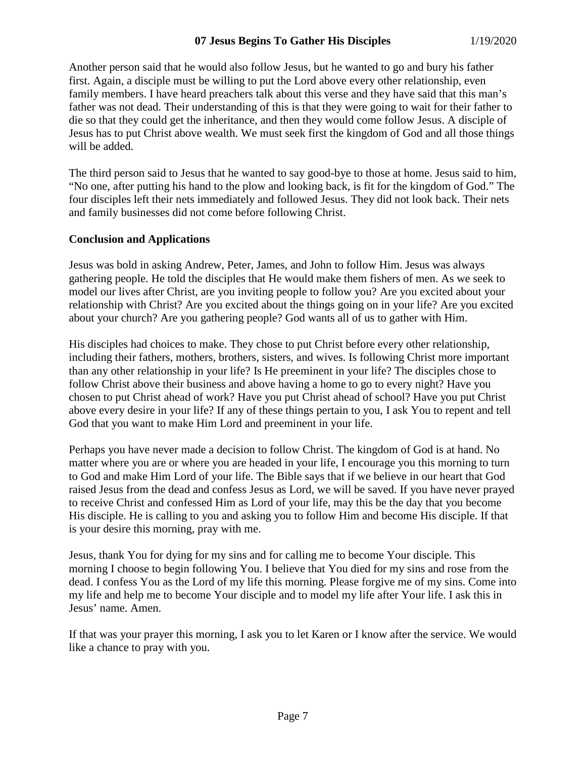### **07 Jesus Begins To Gather His Disciples** 1/19/2020

Another person said that he would also follow Jesus, but he wanted to go and bury his father first. Again, a disciple must be willing to put the Lord above every other relationship, even family members. I have heard preachers talk about this verse and they have said that this man's father was not dead. Their understanding of this is that they were going to wait for their father to die so that they could get the inheritance, and then they would come follow Jesus. A disciple of Jesus has to put Christ above wealth. We must seek first the kingdom of God and all those things will be added.

The third person said to Jesus that he wanted to say good-bye to those at home. Jesus said to him, "No one, after putting his hand to the plow and looking back, is fit for the kingdom of God." The four disciples left their nets immediately and followed Jesus. They did not look back. Their nets and family businesses did not come before following Christ.

#### **Conclusion and Applications**

Jesus was bold in asking Andrew, Peter, James, and John to follow Him. Jesus was always gathering people. He told the disciples that He would make them fishers of men. As we seek to model our lives after Christ, are you inviting people to follow you? Are you excited about your relationship with Christ? Are you excited about the things going on in your life? Are you excited about your church? Are you gathering people? God wants all of us to gather with Him.

His disciples had choices to make. They chose to put Christ before every other relationship, including their fathers, mothers, brothers, sisters, and wives. Is following Christ more important than any other relationship in your life? Is He preeminent in your life? The disciples chose to follow Christ above their business and above having a home to go to every night? Have you chosen to put Christ ahead of work? Have you put Christ ahead of school? Have you put Christ above every desire in your life? If any of these things pertain to you, I ask You to repent and tell God that you want to make Him Lord and preeminent in your life.

Perhaps you have never made a decision to follow Christ. The kingdom of God is at hand. No matter where you are or where you are headed in your life, I encourage you this morning to turn to God and make Him Lord of your life. The Bible says that if we believe in our heart that God raised Jesus from the dead and confess Jesus as Lord, we will be saved. If you have never prayed to receive Christ and confessed Him as Lord of your life, may this be the day that you become His disciple. He is calling to you and asking you to follow Him and become His disciple. If that is your desire this morning, pray with me.

Jesus, thank You for dying for my sins and for calling me to become Your disciple. This morning I choose to begin following You. I believe that You died for my sins and rose from the dead. I confess You as the Lord of my life this morning. Please forgive me of my sins. Come into my life and help me to become Your disciple and to model my life after Your life. I ask this in Jesus' name. Amen.

If that was your prayer this morning, I ask you to let Karen or I know after the service. We would like a chance to pray with you.